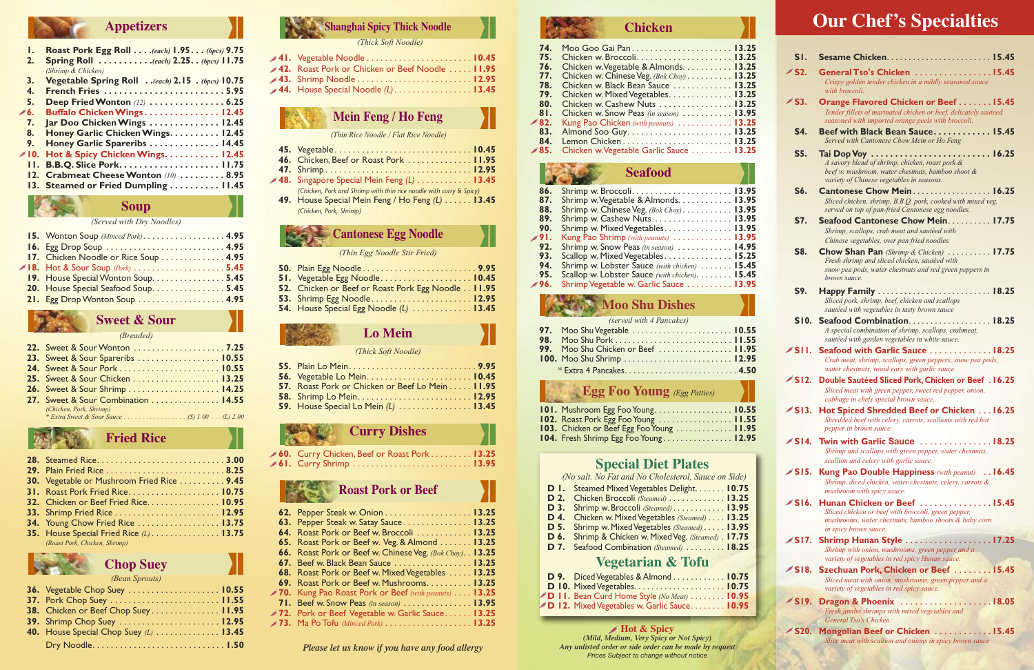### **Special Diet Plates**

*(No salt. No Fat and No Cholesterol, Sauce on Side)*

- **D 1.** Steamed MixedVegetables Delight. . . . . . . **10.75 D 2.** Chicken Broccoli *(Steamed)* . . . . . . . . . . . . . **13.25 D 3.** Shrimp w. Broccoli *(Steamed)* . . . . . . . . . . . . **13.95 D 4.** Chicken w. MixedVegetables *(Steamed)* . . . . **13.25 D 5.** Shrimp w. MixedVegetables *(Steamed)* . . . . . **13.95**
- **D 6.** Shrimp & Chicken w. MixedVeg. *(Steamed)* . **17.75**
- **D 7.** Seafood Combination *(Steamed)* . . . . . . . . . **18.25**

### **Vegetarian & Tofu**

|  | D 9. Diced Vegetables & Almond  10.75              |  |
|--|----------------------------------------------------|--|
|  |                                                    |  |
|  | <b>D 11.</b> Bean Curd Home Style (No Meat)  10.95 |  |
|  | D 12. Mixed Vegetables w. Garlic Sauce 10.95       |  |

**Hot & Spicy** *(Mild, Medium, Very Spicy or Not Spicy) Any unlisted order or side order can be made by request Please let us know if you have any food allergy Any unlisted order or side order can be made by*<br>*Prices Subject to change without notice* 

### **Appetizers**

| ı.           | <b>Roast Pork Egg Roll (each) 1.95. (6pcs) 9.75</b> |
|--------------|-----------------------------------------------------|
| 2.           | <b>Spring Roll</b> (each) 2.25 (6pcs) 11.75         |
|              | (Shrimp & Chicken)                                  |
| 3.           | Vegetable Spring Roll (each) 2.15 . (6pcs) 10.75    |
| $\mathbf{4}$ | <b>French Fries 5.95</b>                            |
| 5.           | <b>Deep Fried Wonton (12)  6.25</b>                 |
| . . 6        | Buffalo Chicken Wings12.45                          |
| 7.           | Jar Doo Chicken Wings  12.45                        |
| 8.           | Honey Garlic Chicken Wings. 12.45                   |
| 9.           | Honey Garlic Spareribs  14.45                       |
| ◢ 10.        | Hot & Spicy Chicken Wings. 12.45                    |
|              | <b>11. B.B.Q. Slice Pork11.75</b>                   |
|              | 12. Crabmeat Cheese Wonton (10)  8.95               |
|              | 13. Steamed or Fried Dumpling  11.45                |
|              |                                                     |

#### **Soup**

*(Served with Dry Noodles)*

| 15. Wonton Soup (Minced Pork) 4.95    |  |
|---------------------------------------|--|
| 16. Egg Drop Soup  4.95               |  |
| 17. Chicken Noodle or Rice Soup  4.95 |  |
|                                       |  |
| 19. House Special Wonton Soup. 5.45   |  |
| 20. House Special Seafood Soup 5.45   |  |
| 21. Egg Drop Wonton Soup  4.95        |  |
|                                       |  |

# **Sweet & Sour**

#### *(Breaded)*

| 22. Sweet & Sour Wonton  7.25         |  |
|---------------------------------------|--|
| 23. Sweet & Sour Spareribs  10.55     |  |
| 24. Sweet & Sour Pork  10.55          |  |
| <b>25.</b> Sweet & Sour Chicken 13.25 |  |
| <b>26.</b> Sweet & Sour Shrimp 14.25  |  |
| 27. Sweet & Sour Combination  14.55   |  |
| (Chicken, Pork, Shrimp)               |  |
|                                       |  |

### **Fried Rice**

| <b>30.</b> Vegetable or Mushroom Fried Rice 9.45 |  |
|--------------------------------------------------|--|
| 31. Roast Pork Fried Rice 10.75                  |  |
| 32. Chicken or Beef Fried Rice. 10.95            |  |
|                                                  |  |
| 34. Young Chow Fried Rice  13.75                 |  |
| 35. House Special Fried Rice $(L)$ 13.75         |  |
| (Roast Pork, Chicken, Shrimp)                    |  |



#### *(Bean Sprouts)*

| 36. Vegetable Chop Suey  10.55          |  |
|-----------------------------------------|--|
| 37. Pork Chop Suey  11.55               |  |
| 38. Chicken or Beef Chop Suey 11.95     |  |
| 39. Shrimp Chop Suey  12.95             |  |
| 40. House Special Chop Suey $(L)$ 13.45 |  |
|                                         |  |

# **Shanghai Spicy Thick Noodle**

*(Thick Soft Noodle)*

| 41. Vegetable Noodle $\dots\dots\dots\dots\dots\dots\dots$ 10.45 |  |
|------------------------------------------------------------------|--|
| 42. Roast Pork or Chicken or Beef Noodle  11.95                  |  |
|                                                                  |  |
| 44. House Special Noodle $(L)$ 13.45                             |  |

**Mein Feng / Ho Feng**

*(Thin Rice Noodle / Flat Rice Noodle)*

- **45.** Vegetable . . . . . . . . . . . . . . . . . . . . . . . . . . . . . . **10.45 46.** Chicken, Beef or Roast Pork . . . . . . . . . . . . . . **11.95**
- **47.** Shrimp . . . . . . . . . . . . . . . . . . . . . . . . . . . . . . . . **12.95 48.** Singapore Special Mein Feng *(L)* . . . . . . . . . . . . **13.45** *(Chicken, Pork and Shrimp with thin rice noodle with curry & Spicy)*
- **49.** House Special Mein Feng / Ho Feng *(L)* . . . . . . **13.45** *(Chicken, Pork, Shrimp)*

### **Cantonese Egg Noodle**

#### *(Thin Egg Noodle Stir Fried)*

- **50.** Plain Egg Noodle . . . . . . . . . . . . . . . . . . . . . . . . . **9.95 51.** Vegetable Egg Noodle. . . . . . . . . . . . . . . . . . . . **10.45 52.** Chicken or Beef or Roast Pork Egg Noodle . . **11.95 53.** Shrimp Egg Noodle . . . . . . . . . . . . . . . . . . . . . . **12.95**
- **54.** House Special Egg Noodle *(L)* . . . . . . . . . . . . . **13.45**

# **Lo Mein**

#### *(Thick Soft Noodle)*

| 57. Roast Pork or Chicken or Beef Lo Mein 11.95 |  |
|-------------------------------------------------|--|
|                                                 |  |
| 59. House Special Lo Mein $(L)$ 13.45           |  |

**Curry Dishes**

**60.** Curry Chicken, Beef or Roast Pork . . . . . . . . . **13.25 61.** Curry Shrimp . . . . . . . . . . . . . . . . . . . . . . . . . . **13.95**

# **Roast Pork or Beef**

| 62. Pepper Steak w. Onion 13.25                                     |  |
|---------------------------------------------------------------------|--|
| 63. Pepper Steak w. Satay Sauce 13.25                               |  |
| 64. Roast Pork or Beef w. Broccoli  13.25                           |  |
| 65. Roast Pork or Beef w. Veg. & Almond 13.25                       |  |
| 66. Roast Pork or Beef w. Chinese Veg. (Bok Choy). . 13.25          |  |
| 67. Beef w. Black Bean Sauce 13.25                                  |  |
| 68. Roast Pork or Beef w. Mixed Vegetables 13.25                    |  |
| 69. Roast Pork or Beef w. Mushrooms. 13.25                          |  |
| <b>70.</b> Kung Pao Roast Pork or Beef (with peanuts) $\dots$ 13.25 |  |
| 71. Beef w. Snow Peas (in season) $\dots$ 13.95                     |  |
| 72. Pork or Beef Vegetable w. Garlic Sauce 13.25                    |  |
| <b>73.</b> Ma Po Tofu (Minced Pork) 13.25                           |  |
|                                                                     |  |

# **Our Chef's Specialties**

| SI.                           |                                                                                                                                                                     |
|-------------------------------|---------------------------------------------------------------------------------------------------------------------------------------------------------------------|
| $\blacktriangleright$ S2.     | General Tso's Chicken 15.45                                                                                                                                         |
|                               | Crispy golden tender chicken in a mildly seasoned sauce<br>with broccoli.                                                                                           |
| $\mathscr{M}$ S3.             | Orange Flavored Chicken or Beef 15.45<br>Tender fillets of marinated chicken or beef, delicately sautéed<br>seasoned with imported orange peels with broccoli.      |
| S4.                           | Beef with Black Bean Sauce 15.45<br>Served with Cantonese Chow Mein or Ho Feng                                                                                      |
| S5.                           | A savory blend of shrimp, chicken, roast pork &<br>beef w. mushroom, water chestnuts, bamboo shoot &<br>variety of Chinese vegetables in seasons.                   |
| S6.                           | Cantonese Chow Mein 16.25<br>Sliced chicken, shrimp, B.B.Q. pork, cooked with mixed veg.<br>served on top of pan-fried Cantonese egg noodles.                       |
| <b>S7.</b>                    | Seafood Cantonese Chow Mein 17.75                                                                                                                                   |
|                               | Shrimp, scallops, crab meat and sautéed with<br>Chinese vegetables, over pan fried noodles.                                                                         |
| <b>S8.</b>                    | Chow Shan Pan (Shrimp & Chicken)  17.75<br>Fresh shrimp and sliced chicken, sautéed with<br>snow pea pods, water chestnuts and red green peppers in<br>brown sauce. |
| S9.                           | Happy Family  18.25                                                                                                                                                 |
|                               | Sliced pork, shrimp, beef, chicken and scallops<br>sautéed with vegetables in tasty brown sauce                                                                     |
| SI0.                          | Seafood Combination 18.25<br>A special combination of shrimp, scallops, crabmeat,                                                                                   |
|                               | sautéed with garden vegetables in white sauce.                                                                                                                      |
| <b>∕sii.</b>                  | Seafood with Garlic Sauce 18.25<br>Crab meat, shrimp, scallops, green peppers, snow pea pods,<br>water chestnuts, wood ears with garlic sauce.                      |
| $\sim$ SI2.                   | <b>Double Sautéed Sliced Pork, Chicken or Beef</b> . 16.25<br>Sliced meat with green pepper, sweet red pepper, onion,<br>cabbage in chefs special brown sauce.      |
| $\sim$ SI3.                   | Hot Spiced Shredded Beef or Chicken 16.25<br>Shredded beef with celery, carrots, scallions with red hot<br><i>pepper in brown sauce.</i>                            |
|                               | SI4. Twin with Garlic Sauce 18.25<br>Shrimp and scallops with green pepper, water chestnuts,<br>scallion and celery with garlic sauce.                              |
| $\angle$ SI5.                 | <b>Kung Pao Double Happiness</b> (with peanut) 16.45<br>Shrimp, diced chicken, water chestnuts, celery, carrots &<br>mushroom with spicy sauce.                     |
| $\overline{\mathcal{S}}$ SI6. | Hunan Chicken or Beef 15.45<br>Sliced chicken or beef with broccoli, green pepper,                                                                                  |
|                               | mushrooms, water chestnuts, bamboo shoots & baby corn<br>in spicy brown sauce.                                                                                      |
| $\angle$ SI7.                 | Shrimp Hunan Style 17.25<br>Shrimp with onion, mushrooms, green pepper and a<br>variety of vegetables in red spicy Hunan sauce.                                     |
| $\angle$ SI8.                 | Szechuan Pork, Chicken or Beef  15.45                                                                                                                               |
|                               | Sliced meat with onion, mushrooms, green pepper and a<br>variety of vegetables in red spicy sauce.                                                                  |
| $\angle$ SI9.                 | Dragon & Phoenix 18.05                                                                                                                                              |
|                               | Fresh jumbo shrimps with mixed vegetables and<br>General Tso's Chicken.                                                                                             |
| $\sim$ S20.                   | Mongolian Beef or Chicken 15.45                                                                                                                                     |
|                               | Slice meat with scallion and onions in spicy brown sauce                                                                                                            |

### **Chicken**

| 74.           |                                          |  |
|---------------|------------------------------------------|--|
| 75.           | Chicken w. Broccoli 13.25                |  |
| 76.           | Chicken w. Vegetable & Almonds. 13.25    |  |
| 77.           | Chicken w. Chinese Veg. (Bok Choy) 13.25 |  |
| 78.           | Chicken w. Black Bean Sauce 13.25        |  |
| 79.           | Chicken w. Mixed Vegetables. 13.25       |  |
| 80.           | Chicken w. Cashew Nuts 13.25             |  |
| 81.           | Chicken w. Snow Peas (in season) 13.95   |  |
| $\approx 82.$ | Kung Pao Chicken (with peanuts)  13.25   |  |
|               |                                          |  |
| 84.           |                                          |  |
| .85 نم        | Chicken w. Vegetable Garlic Sauce 13.25  |  |
|               |                                          |  |

#### **Seafood**

| 86. |                                                |  |
|-----|------------------------------------------------|--|
| 87. | Shrimp w. Vegetable & Almonds. 13.95           |  |
| 88. | Shrimp w. Chinese Veg. (Bok Choy). 13.95       |  |
| 89. | Shrimp w. Cashew Nuts 13.95                    |  |
| 90. | Shrimp w. Mixed Vegetables. 13.95              |  |
| 91. | Kung Pao Shrimp (with peanuts)  13.95          |  |
| 92. | Shrimp w. Snow Peas (in season)  14.95         |  |
| 93. | Scallop w. Mixed Vegetables. 15.25             |  |
| 94. | Shrimp w. Lobster Sauce (with chicken) 15.45   |  |
| 95. | Scallop w. Lobster Sauce (with chicken). 15.45 |  |
| 96. | Shrimp Vegetable w. Garlic Sauce 13.95         |  |
|     |                                                |  |

# **Moo Shu Dishes**

| (served with 4 Pancakes)           |  |
|------------------------------------|--|
| 97. Moo Shu Vegetable  10.55       |  |
|                                    |  |
| 99. Moo Shu Chicken or Beef  11.95 |  |
| 100. Moo Shu Shrimp  12.95         |  |
|                                    |  |

### **Egg Foo Young** *(Egg Patties)*

| <b>101.</b> Mushroom Egg Foo Young 10.55    |  |
|---------------------------------------------|--|
| <b>102.</b> Roast Pork Egg Foo Young  11.55 |  |
| 103. Chicken or Beef Egg Foo Young  11.95   |  |
| 104. Fresh Shrimp Egg Foo Young12.95        |  |